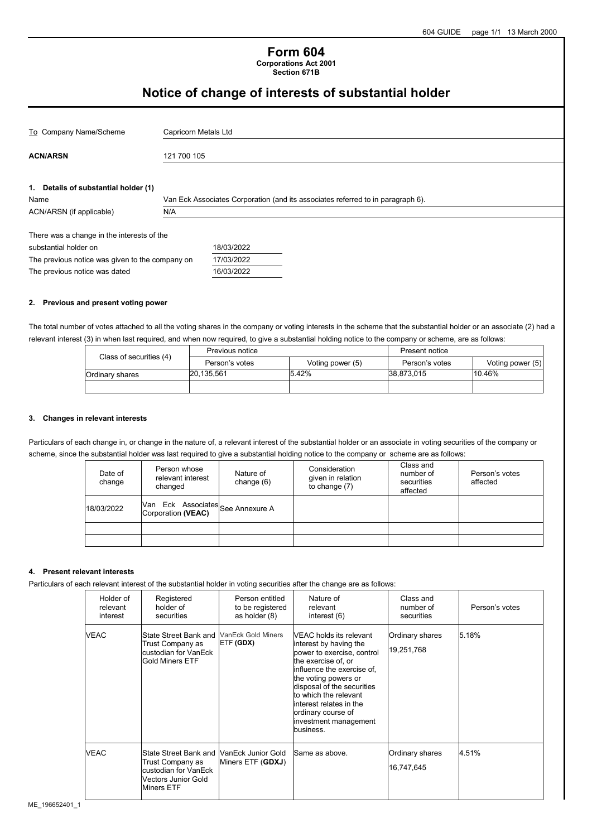## **Form 604 Corporations Act 2001**

**Section 671B**

# **Notice of change of interests of substantial holder**

| To Company Name/Scheme                                                                                                                                  | Capricorn Metals Ltd |                                                                                 |  |  |  |  |
|---------------------------------------------------------------------------------------------------------------------------------------------------------|----------------------|---------------------------------------------------------------------------------|--|--|--|--|
| <b>ACN/ARSN</b>                                                                                                                                         | 121 700 105          |                                                                                 |  |  |  |  |
| 1. Details of substantial holder (1)<br>Name                                                                                                            |                      | Van Eck Associates Corporation (and its associates referred to in paragraph 6). |  |  |  |  |
| ACN/ARSN (if applicable)                                                                                                                                | N/A                  |                                                                                 |  |  |  |  |
| There was a change in the interests of the<br>substantial holder on<br>The previous notice was given to the company on<br>The previous notice was dated |                      | 18/03/2022<br>17/03/2022<br>16/03/2022                                          |  |  |  |  |

#### **2. Previous and present voting power**

The total number of votes attached to all the voting shares in the company or voting interests in the scheme that the substantial holder or an associate (2) had a relevant interest (3) in when last required, and when now required, to give a substantial holding notice to the company or scheme, are as follows:

| Class of securities (4) | Previous notice |                  | Present notice |                  |
|-------------------------|-----------------|------------------|----------------|------------------|
|                         | Person's votes  | Voting power (5) | Person's votes | Voting power (5) |
| Ordinary shares         | 20,135,561      | 5.42%            | 38.873.015     | 10.46%           |
|                         |                 |                  |                |                  |

#### **3. Changes in relevant interests**

Particulars of each change in, or change in the nature of, a relevant interest of the substantial holder or an associate in voting securities of the company or scheme, since the substantial holder was last required to give a substantial holding notice to the company or scheme are as follows:

| Date of<br>change | Person whose<br>relevant interest<br>changed            | Nature of<br>change $(6)$ | Consideration<br>given in relation<br>to change $(7)$ | Class and<br>number of<br>securities<br>affected | Person's votes<br>affected |
|-------------------|---------------------------------------------------------|---------------------------|-------------------------------------------------------|--------------------------------------------------|----------------------------|
| 18/03/2022        | Van Eck Associates<br>Corporation (VEAC) See Annexure A |                           |                                                       |                                                  |                            |
|                   |                                                         |                           |                                                       |                                                  |                            |
|                   |                                                         |                           |                                                       |                                                  |                            |

#### **4. Present relevant interests**

Particulars of each relevant interest of the substantial holder in voting securities after the change are as follows:

| Holder of<br>relevant<br>interest | Registered<br>holder of<br>securities                                                                                                   | Person entitled<br>to be registered<br>as holder (8) | Nature of<br>relevant<br>interest $(6)$                                                                                                                                                                                                                                                                     | Class and<br>number of<br>securities | Person's votes |
|-----------------------------------|-----------------------------------------------------------------------------------------------------------------------------------------|------------------------------------------------------|-------------------------------------------------------------------------------------------------------------------------------------------------------------------------------------------------------------------------------------------------------------------------------------------------------------|--------------------------------------|----------------|
| <b>VEAC</b>                       | State Street Bank and<br>Trust Company as<br>custodian for VanEck<br><b>IGold Miners ETF</b>                                            | VanEck Gold Miners<br>ETF (GDX)                      | VEAC holds its relevant<br>interest by having the<br>power to exercise, control<br>the exercise of, or<br>influence the exercise of,<br>the voting powers or<br>disposal of the securities<br>to which the relevant<br>linterest relates in the<br>ordinary course of<br>investment management<br>business. | Ordinary shares<br>19,251,768        | 5.18%          |
| <b>VEAC</b>                       | State Street Bank and NanEck Junior Gold<br>Trust Company as<br>custodian for VanEck<br><b>Vectors Junior Gold</b><br><b>Miners ETF</b> | Miners ETF (GDXJ)                                    | Same as above.                                                                                                                                                                                                                                                                                              | Ordinary shares<br>16,747,645        | 4.51%          |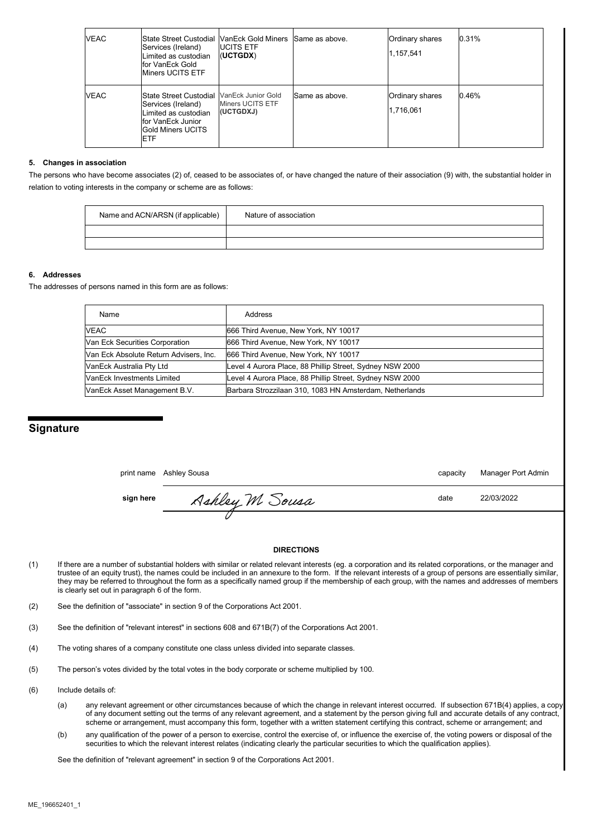| VEAC        | <b>State Street Custodial IVanEck Gold Miners Same as above.</b><br>Services (Ireland)<br>Limited as custodian<br>lfor VanEck Gold<br><b>I</b> Miners UCITS ETF | <b>IUCITS ETF</b><br>(UCTGDX) |                | Ordinary shares<br>1,157,541 | 0.31% |
|-------------|-----------------------------------------------------------------------------------------------------------------------------------------------------------------|-------------------------------|----------------|------------------------------|-------|
| <b>VEAC</b> | State Street Custodial VanEck Junior Gold<br>Services (Ireland)<br>Limited as custodian<br>lfor VanEck Junior<br>Gold Miners UCITS<br><b>ETF</b>                | Miners UCITS ETF<br>(UCTGDXJ) | Same as above. | Ordinary shares<br>1,716,061 | 0.46% |

#### **5. Changes in association**

The persons who have become associates (2) of, ceased to be associates of, or have changed the nature of their association (9) with, the substantial holder in relation to voting interests in the company or scheme are as follows:

| Name and ACN/ARSN (if applicable) | Nature of association |
|-----------------------------------|-----------------------|
|                                   |                       |
|                                   |                       |

### **6. Addresses**

The addresses of persons named in this form are as follows:

| Name                                   | Address                                                  |
|----------------------------------------|----------------------------------------------------------|
| <b>VEAC</b>                            | 666 Third Avenue, New York, NY 10017                     |
| Van Eck Securities Corporation         | 666 Third Avenue, New York, NY 10017                     |
| Van Eck Absolute Return Advisers, Inc. | 666 Third Avenue, New York, NY 10017                     |
| VanEck Australia Pty Ltd               | Level 4 Aurora Place, 88 Phillip Street, Sydney NSW 2000 |
| <b>VanEck Investments Limited</b>      | Level 4 Aurora Place, 88 Phillip Street, Sydney NSW 2000 |
| VanEck Asset Management B.V.           | Barbara Strozzilaan 310, 1083 HN Amsterdam, Netherlands  |

## **Signature**

|           | print name Ashley Sousa | capacity | Manager Port Admin |
|-----------|-------------------------|----------|--------------------|
| sign here | Ashley M Sousa          | date     | 22/03/2022         |
|           |                         |          |                    |

#### **DIRECTIONS**

- (1) If there are a number of substantial holders with similar or related relevant interests (eg. a corporation and its related corporations, or the manager and trustee of an equity trust), the names could be included in an annexure to the form. If the relevant interests of a group of persons are essentially similar, they may be referred to throughout the form as a specifically named group if the membership of each group, with the names and addresses of members is clearly set out in paragraph 6 of the form.
- (2) See the definition of "associate" in section 9 of the Corporations Act 2001.
- (3) See the definition of "relevant interest" in sections 608 and 671B(7) of the Corporations Act 2001.
- (4) The voting shares of a company constitute one class unless divided into separate classes.
- (5) The person's votes divided by the total votes in the body corporate or scheme multiplied by 100.
- (6) Include details of:
	- (a) any relevant agreement or other circumstances because of which the change in relevant interest occurred. If subsection 671B(4) applies, a copy of any document setting out the terms of any relevant agreement, and a statement by the person giving full and accurate details of any contract, scheme or arrangement, must accompany this form, together with a written statement certifying this contract, scheme or arrangement; and
	- (b) any qualification of the power of a person to exercise, control the exercise of, or influence the exercise of, the voting powers or disposal of the securities to which the relevant interest relates (indicating clearly the particular securities to which the qualification applies).

See the definition of "relevant agreement" in section 9 of the Corporations Act 2001.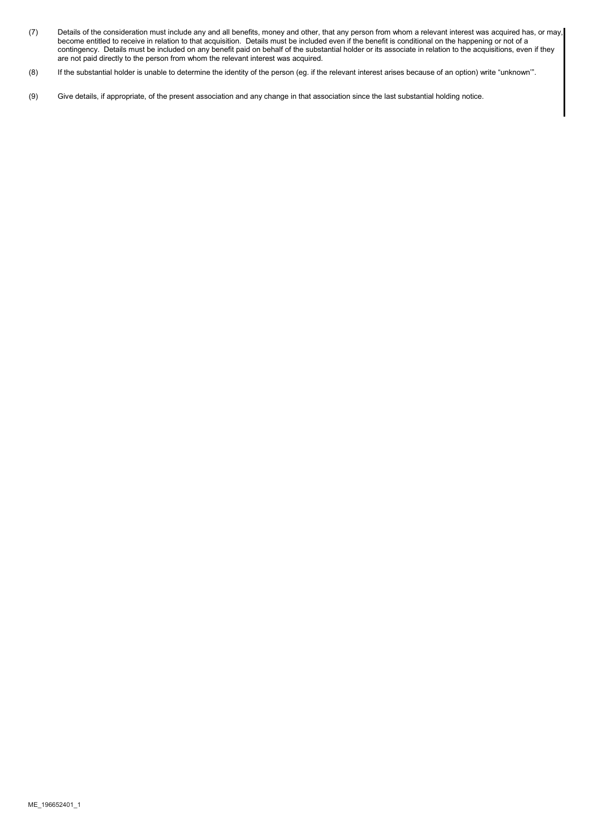- (7) Details of the consideration must include any and all benefits, money and other, that any person from whom a relevant interest was acquired has, or may, become entitled to receive in relation to that acquisition. Details must be included even if the benefit is conditional on the happening or not of a contingency. Details must be included on any benefit paid on behalf of the substantial holder or its associate in relation to the acquisitions, even if they are not paid directly to the person from whom the relevant interest was acquired.
- (8) If the substantial holder is unable to determine the identity of the person (eg. if the relevant interest arises because of an option) write "unknown'".
- (9) Give details, if appropriate, of the present association and any change in that association since the last substantial holding notice.